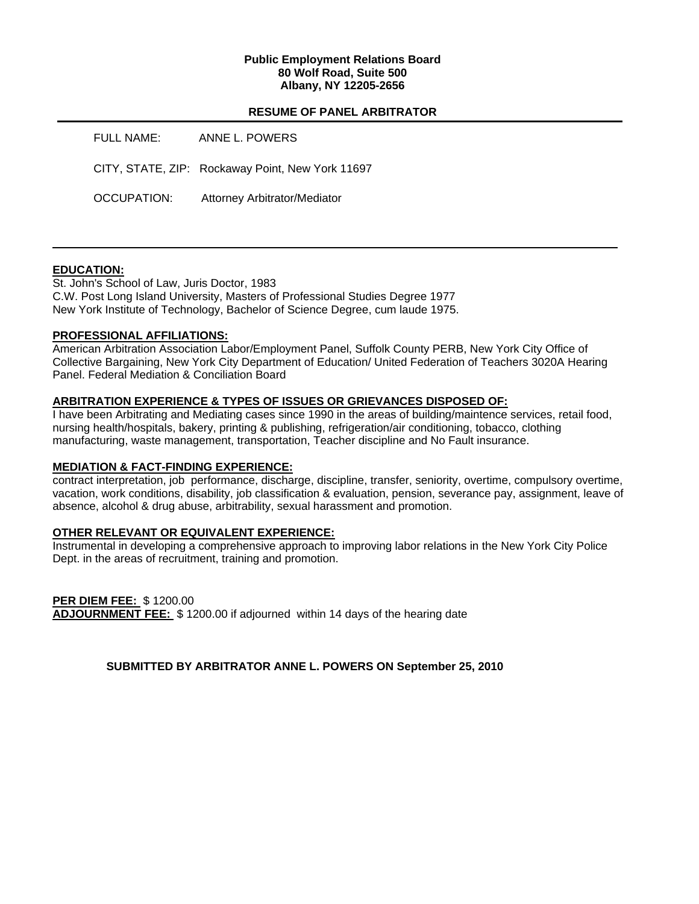### **Public Employment Relations Board 80 Wolf Road, Suite 500 Albany, NY 12205-2656**

## **RESUME OF PANEL ARBITRATOR**

| FULL NAME:  | ANNE L. POWERS                                   |
|-------------|--------------------------------------------------|
|             | CITY, STATE, ZIP: Rockaway Point, New York 11697 |
| OCCUPATION: | Attorney Arbitrator/Mediator                     |

## **EDUCATION:**

St. John's School of Law, Juris Doctor, 1983 C.W. Post Long Island University, Masters of Professional Studies Degree 1977 New York Institute of Technology, Bachelor of Science Degree, cum laude 1975.

## **PROFESSIONAL AFFILIATIONS:**

American Arbitration Association Labor/Employment Panel, Suffolk County PERB, New York City Office of Collective Bargaining, New York City Department of Education/ United Federation of Teachers 3020A Hearing Panel. Federal Mediation & Conciliation Board

## **ARBITRATION EXPERIENCE & TYPES OF ISSUES OR GRIEVANCES DISPOSED OF:**

I have been Arbitrating and Mediating cases since 1990 in the areas of building/maintence services, retail food, nursing health/hospitals, bakery, printing & publishing, refrigeration/air conditioning, tobacco, clothing manufacturing, waste management, transportation, Teacher discipline and No Fault insurance.

## **MEDIATION & FACT-FINDING EXPERIENCE:**

contract interpretation, job performance, discharge, discipline, transfer, seniority, overtime, compulsory overtime, vacation, work conditions, disability, job classification & evaluation, pension, severance pay, assignment, leave of absence, alcohol & drug abuse, arbitrability, sexual harassment and promotion.

## **OTHER RELEVANT OR EQUIVALENT EXPERIENCE:**

Instrumental in developing a comprehensive approach to improving labor relations in the New York City Police Dept. in the areas of recruitment, training and promotion.

**PER DIEM FEE:** \$ 1200.00 **ADJOURNMENT FEE:** \$ 1200.00 if adjourned within 14 days of the hearing date

**SUBMITTED BY ARBITRATOR ANNE L. POWERS ON September 25, 2010**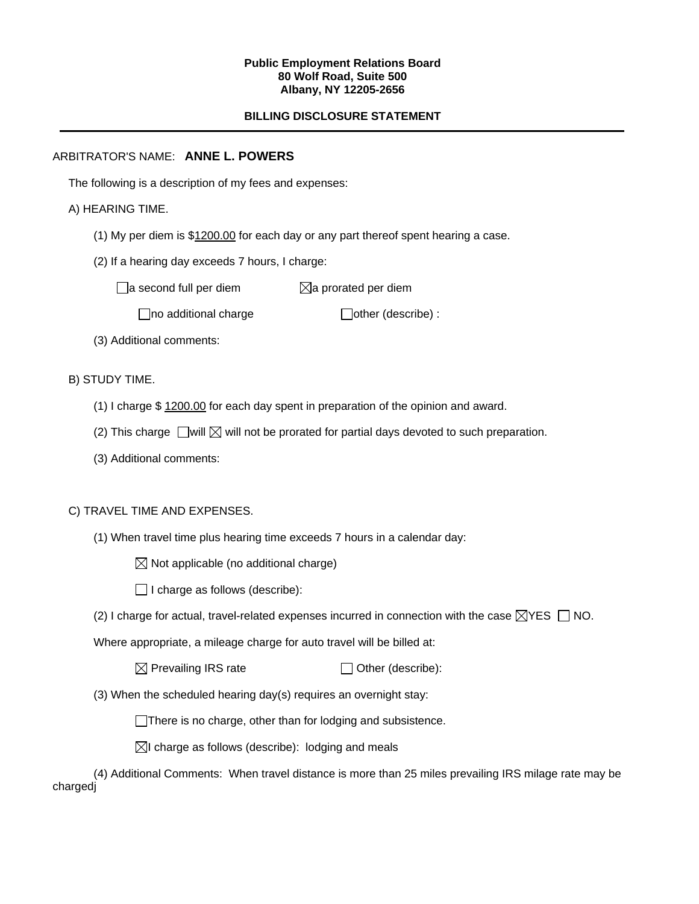#### **Public Employment Relations Board 80 Wolf Road, Suite 500 Albany, NY 12205-2656**

# **BILLING DISCLOSURE STATEMENT**

# ARBITRATOR'S NAME: **ANNE L. POWERS**

The following is a description of my fees and expenses:

## A) HEARING TIME.

- (1) My per diem is \$1200.00 for each day or any part thereof spent hearing a case.
- (2) If a hearing day exceeds 7 hours, I charge:

 $\Box$ a second full per diem  $\boxtimes$ a prorated per diem

 $\Box$ no additional charge  $\Box$ other (describe) :

(3) Additional comments:

B) STUDY TIME.

- (1) I charge \$ 1200.00 for each day spent in preparation of the opinion and award.
- (2) This charge  $\Box$  will  $\boxtimes$  will not be prorated for partial days devoted to such preparation.
- (3) Additional comments:

## C) TRAVEL TIME AND EXPENSES.

(1) When travel time plus hearing time exceeds 7 hours in a calendar day:

 $\boxtimes$  Not applicable (no additional charge)

 $\Box$  I charge as follows (describe):

(2) I charge for actual, travel-related expenses incurred in connection with the case  $\boxtimes$ YES  $\Box$  NO.

Where appropriate, a mileage charge for auto travel will be billed at:

 $\boxtimes$  Prevailing IRS rate  $\Box$  Other (describe):

(3) When the scheduled hearing day(s) requires an overnight stay:

There is no charge, other than for lodging and subsistence.

 $\boxtimes$ I charge as follows (describe): lodging and meals

(4) Additional Comments: When travel distance is more than 25 miles prevailing IRS milage rate may be chargedj